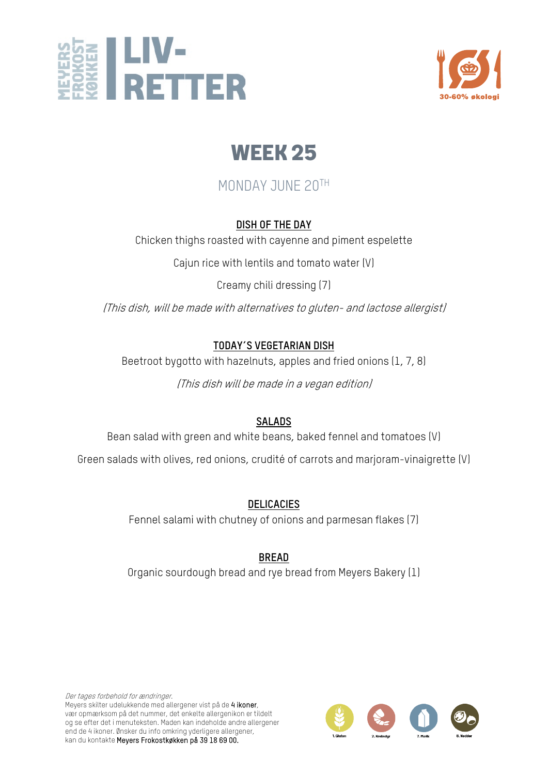



# MONDAY JUNE 20TH

#### **DISH OF THE DAY**

Chicken thighs roasted with cayenne and piment espelette

Cajun rice with lentils and tomato water (V)

Creamy chili dressing (7)

(This dish, will be made with alternatives to gluten- and lactose allergist)

#### **TODAY´S VEGETARIAN DISH**

Beetroot bygotto with hazelnuts, apples and fried onions (1, 7, 8)

(This dish will be made in a vegan edition)

# **SALADS**

Bean salad with green and white beans, baked fennel and tomatoes (V)

Green salads with olives, red onions, crudité of carrots and marjoram-vinaigrette (V)

# **DELICACIES**

Fennel salami with chutney of onions and parmesan flakes (7)

**BREAD** Organic sourdough bread and rye bread from Meyers Bakery (1)

Der tages forbehold for ændringer. Meyers skilter udelukkende med allergener vist på de 4 ikoner, vær opmærksom på det nummer, det enkelte allergenikon er tildelt og se efter det i menuteksten. Maden kan indeholde andre allergener end de 4 ikoner. Ønsker du info omkring yderligere allergener, kan du kontakte Meyers Frokostkøkken på 39 18 69 00.

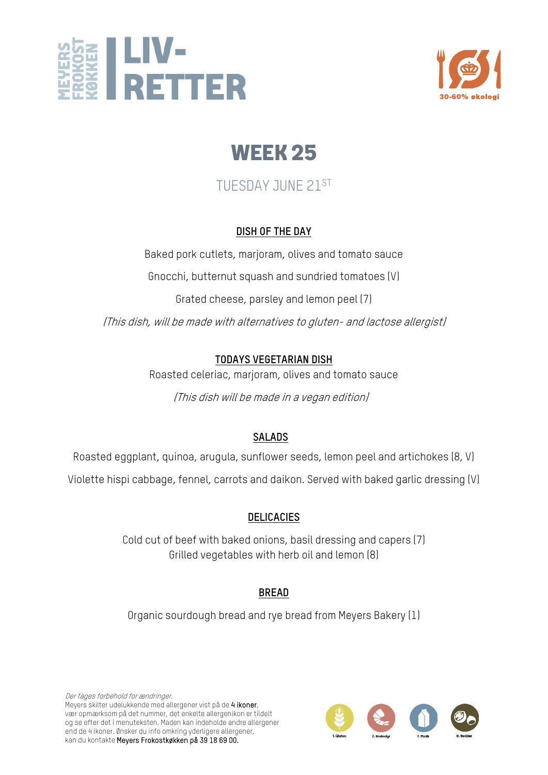



# TUESDAY JUNE 21ST

#### **DISH OF THE DAY**

Baked pork cutlets, marjoram, olives and tomato sauce Gnocchi, butternut squash and sundried tomatoes (V)

Grated cheese, parsley and lemon peel (7)

(This dish, will be made with alternatives to gluten- and lactose allergist)

# **TODAYS VEGETARIAN DISH**

Roasted celeriac, marjoram, olives and tomato sauce

(This dish will be made in a vegan edition)

# **SALADS**

Roasted eggplant, quinoa, arugula, sunflower seeds, lemon peel and artichokes (8, V)

Violette hispi cabbage, fennel, carrots and daikon. Served with baked garlic dressing (V)

# **DELICACIES**

Cold cut of beef with baked onions, basil dressing and capers (7) Grilled vegetables with herb oil and lemon (8)

# **BREAD**

Organic sourdough bread and rye bread from Meyers Bakery (1)

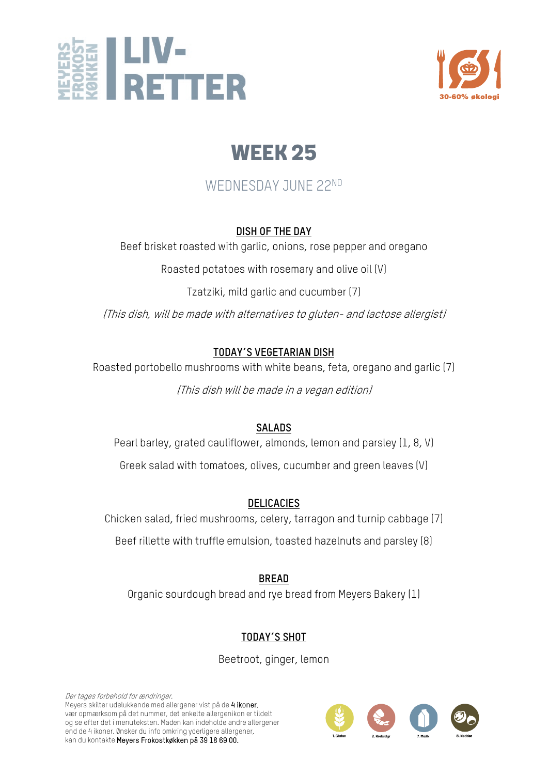



# WEDNESDAY JUNE 22ND

#### **DISH OF THE DAY**

Beef brisket roasted with garlic, onions, rose pepper and oregano

Roasted potatoes with rosemary and olive oil (V)

Tzatziki, mild garlic and cucumber (7)

(This dish, will be made with alternatives to gluten- and lactose allergist)

#### **TODAY´S VEGETARIAN DISH**

Roasted portobello mushrooms with white beans, feta, oregano and garlic (7)

(This dish will be made in a vegan edition)

#### **SALADS**

Pearl barley, grated cauliflower, almonds, lemon and parsley (1, 8, V) Greek salad with tomatoes, olives, cucumber and green leaves (V)

# **DELICACIES**

Chicken salad, fried mushrooms, celery, tarragon and turnip cabbage (7)

Beef rillette with truffle emulsion, toasted hazelnuts and parsley (8)

**BREAD** Organic sourdough bread and rye bread from Meyers Bakery (1)

# **TODAY´S SHOT**

Beetroot, ginger, lemon

Der tages forbehold for ændringer. Meyers skilter udelukkende med allergener vist på de 4 ikoner, vær opmærksom på det nummer, det enkelte allergenikon er tildelt og se efter det i menuteksten. Maden kan indeholde andre allergener end de 4 ikoner. Ønsker du info omkring yderligere allergener, kan du kontakte Meyers Frokostkøkken på 39 18 69 00.

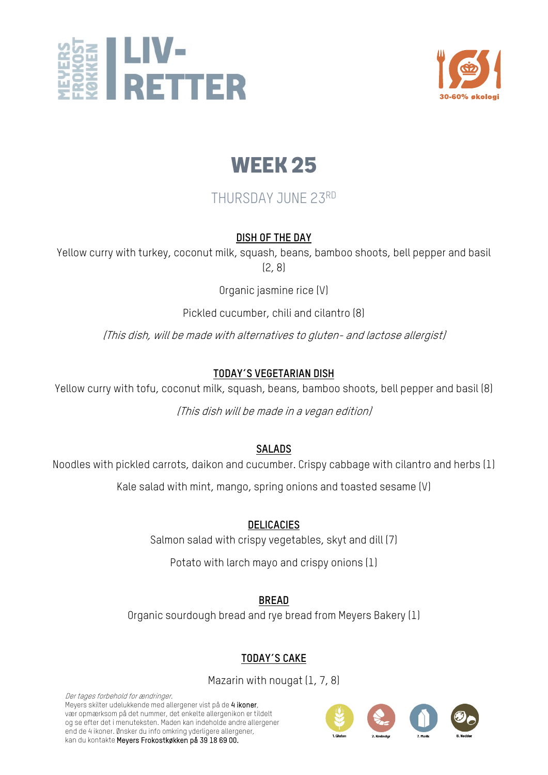



# THURSDAY JUNE 23RD

#### **DISH OF THE DAY**

Yellow curry with turkey, coconut milk, squash, beans, bamboo shoots, bell pepper and basil (2, 8)

Organic jasmine rice (V)

Pickled cucumber, chili and cilantro (8)

(This dish, will be made with alternatives to gluten- and lactose allergist)

# **TODAY´S VEGETARIAN DISH**

Yellow curry with tofu, coconut milk, squash, beans, bamboo shoots, bell pepper and basil (8)

(This dish will be made in a vegan edition)

# **SALADS**

Noodles with pickled carrots, daikon and cucumber. Crispy cabbage with cilantro and herbs (1)

Kale salad with mint, mango, spring onions and toasted sesame (V)

#### **DELICACIES**

Salmon salad with crispy vegetables, skyt and dill (7)

Potato with larch mayo and crispy onions (1)

**BREAD**

Organic sourdough bread and rye bread from Meyers Bakery (1)

# **TODAY´S CAKE**

Mazarin with nougat (1, 7, 8)

Der tages forbehold for ændringer. Meyers skilter udelukkende med allergener vist på de 4 ikoner, vær opmærksom på det nummer, det enkelte allergenikon er tildelt og se efter det i menuteksten. Maden kan indeholde andre allergener end de 4 ikoner. Ønsker du info omkring yderligere allergener, kan du kontakte Meyers Frokostkøkken på 39 18 69 00.